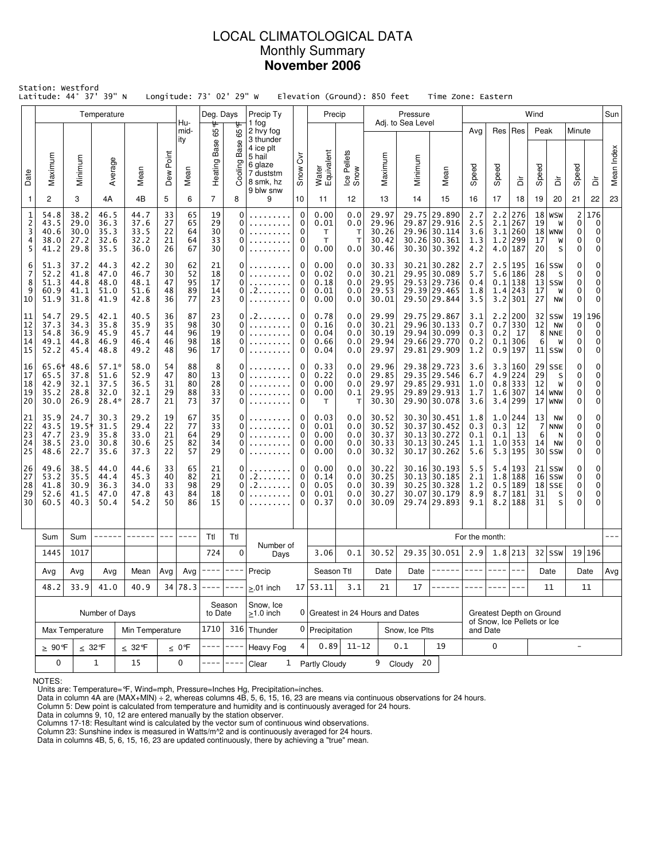# LOCAL CLIMATOLOGICAL DATA Monthly Summary **November 2006**

|                                              | Station: Westford<br>Latitude: 44° 37' 39" N |                                      |                                            |                                      |                            |                            | Longitude: 73° 02' 29" W   |                              |                                                                                                 |                                            |                                              |                                        | Elevation (Ground): 850 feet              |                               | Time Zone: Eastern                                                             |                                 |                                         |                                                     |                      |                                                 |                                  |                         |            |
|----------------------------------------------|----------------------------------------------|--------------------------------------|--------------------------------------------|--------------------------------------|----------------------------|----------------------------|----------------------------|------------------------------|-------------------------------------------------------------------------------------------------|--------------------------------------------|----------------------------------------------|----------------------------------------|-------------------------------------------|-------------------------------|--------------------------------------------------------------------------------|---------------------------------|-----------------------------------------|-----------------------------------------------------|----------------------|-------------------------------------------------|----------------------------------|-------------------------|------------|
|                                              |                                              |                                      | Temperature                                |                                      |                            | Hu-                        | Deg. Days<br>₩             |                              | Precip Ty<br>1 fog                                                                              |                                            | Precip                                       |                                        |                                           | Pressure<br>Adj. to Sea Level |                                                                                |                                 |                                         |                                                     | Wind                 |                                                 |                                  |                         | Sun        |
| Date                                         | Maximum                                      | Minimum                              | Average                                    | Mean                                 | Dew Point                  | mid-<br>ity<br>Mean        | 65<br>Heating Base         | 65°F<br>Base<br>Cooling      | 2 hvy fog<br>3 thunder<br>4 ice plt<br>5 hail<br>6 glaze<br>7 duststm<br>8 smk, hz<br>9 blw snw | $\overline{\delta}$<br>Snow                | Water<br>Equivalent                          | Ice Pellets<br>Snow                    | Maximum                                   | Minimum                       | Mean                                                                           | Avg<br>Speed                    | Res<br>Speed                            | Res<br>ă                                            | Peak<br>Speed        | ă                                               | Minute<br>Speed                  | ă                       | Mean Index |
| $\mathbf{1}$                                 | 2                                            | 3                                    | 4A                                         | 4B                                   | 5                          | 6                          | $\overline{7}$             | 8                            | 9                                                                                               | 10                                         | 11                                           | 12                                     | 13                                        | 14                            | 15                                                                             | 16                              | 17                                      | 18                                                  | 19                   | 20                                              | 21                               | 22                      | 23         |
| $\mathbf 1$<br>$\overline{2}$<br>3<br>4<br>5 | 54.8<br>43.5<br>40.6<br>38.0<br>41.2         | 38.2<br>29.0<br>30.0<br>27.2<br>29.8 | 46.5<br>36.3<br>35.3<br>32.6<br>35.5       | 44.7<br>37.6<br>33.5<br>32.2<br>36.0 | 33<br>27<br>22<br>21<br>26 | 65<br>65<br>64<br>64<br>67 | 19<br>29<br>30<br>33<br>30 | 0<br>0<br>0<br>0<br>0        | .<br>.                                                                                          | $\mathbf 0$<br>0<br>0<br>0<br>0            | 0.00<br>0.01<br>$\mathsf{T}$<br>T.<br>0.00   | 0.0<br>0.0<br>т<br>$\mathsf{T}$<br>0.0 | 29.97<br>29.96<br>30.26<br>30.42<br>30.46 |                               | 29.75 29.890<br>29.87 29.916<br>29.96 30.114<br>30.26 30.361<br>30.30 30.392   | 2.7<br>2.5<br>3.6<br>1.3<br>4.2 | 2.2<br>2.1<br>3.1<br>1.2                | 276<br>267<br>260<br>299<br>$4.0$   187             | 18<br>19<br>17<br>20 | <b>WSW</b><br>W<br>$18$ WNW<br>W<br>S           | $\mathsf{2}$<br>0<br>0<br>0<br>0 | 176<br>0<br>0<br>0<br>0 |            |
| 6<br>7<br>8<br>9<br>10                       | 51.3<br>52.2<br>51.3<br>60.9<br>51.9         | 37.2<br>41.8<br>44.8<br>41.1<br>31.8 | 44.3<br>47.0<br>48.0<br>51.0<br>41.9       | 42.2<br>46.7<br>48.1<br>51.6<br>42.8 | 30<br>30<br>47<br>48<br>36 | 62<br>52<br>95<br>89<br>77 | 21<br>18<br>17<br>14<br>23 | 0<br>0<br>0<br>0<br>$\Omega$ | . 2                                                                                             | 0<br>0<br>$\Omega$<br>0<br>0               | 0.00<br>0.02<br>0.18<br>0.01<br>0.00         | 0.0<br>0.0<br>0.0<br>0.0<br>0.0        | 30.33<br>30.21<br>29.95<br>29.53<br>30.01 |                               | 30.21 30.282<br>29.95 30.089<br>29.53 29.736<br>29.39 29.465<br>29.50 29.844   | 2.7<br>5.7<br>0.4<br>1.8<br>3.5 | 5.6<br>0.1<br>3.2                       | 2.5 195<br>186<br>138<br>1.4 243<br>  301           | 28<br>17<br>27       | $16$ SSW<br>S<br>$13$ SSW<br>W<br><b>NW</b>     | 0<br>0<br>0<br>0<br>0            | 0<br>0<br>0<br>0<br>0   |            |
| 11<br>12<br>13<br>14<br>15                   | 54.7<br>37.3<br>54.8<br>49.1<br>52.2         | 29.5<br>34.3<br>36.9<br>44.8<br>45.4 | 42.1<br>35.8<br>45.9<br>46.9<br>48.8       | 40.5<br>35.9<br>45.7<br>46.4<br>49.2 | 36<br>35<br>44<br>46<br>48 | 87<br>98<br>96<br>98<br>96 | 23<br>30<br>19<br>18<br>17 | 0<br>0<br>0<br>0<br>0        |                                                                                                 | 0<br>0<br>0<br>0<br>0                      | 0.78<br>0.16<br>0.04<br>0.66<br>0.04         | 0.0<br>0.0<br>0.0<br>0.0<br>0.0        | 29.99<br>30.21<br>30.19<br>29.94<br>29.97 |                               | 29.75 29.867<br>29.96 30.133<br>29.94 30.099<br>29.66 29.770<br>29.81 29.909   | 3.1<br>0.7<br>0.3<br>0.2<br>1.2 | 2.2<br>0.7<br>0.2<br>0.1                | 200<br>330<br>17<br>306<br>0.9 197                  | 12<br>6              | $32$ SSW<br><b>NW</b><br>8 NNE<br>W<br>$11$ SSW | 19<br>0<br>0<br>0<br>0           | 196<br>0<br>0<br>0<br>0 |            |
| 16<br>17<br>18<br>19<br>20                   | 65.6*<br>65.5<br>42.9<br>35.2<br>30.0        | 48.6<br>37.8<br>32.1<br>28.8<br>26.9 | $57.1*$<br>51.6<br>37.5<br>32.0<br>$28.4*$ | 58.0<br>52.9<br>36.5<br>32.1<br>28.7 | 54<br>47<br>31<br>29<br>21 | 88<br>80<br>80<br>88<br>73 | 8<br>13<br>28<br>33<br>37  | 0<br>0<br>0<br>0<br>0        | .                                                                                               | 0<br>$\Omega$<br>0<br>0<br>$\Omega$        | 0.33<br>0.22<br>0.00<br>0.00<br>$\mathsf{T}$ | 0.0<br>0.0<br>0.0<br>0.1<br>Т          | 29.96<br>29.85<br>29.97<br>29.95<br>30.30 |                               | 29.38 29.723<br>29.35 29.546<br>29.85 29.931<br>29.89 29.913<br>29.90 30.078   | 3.6<br>6.7<br>1.0<br>1.7<br>3.6 | 1.6<br>3.4                              | 3.3 160<br>$4.9$   224<br>$0.8$   333<br>307<br>299 | 29<br>12             | $29$ SSE<br>S<br>W<br>$14$ WNW<br>$17$ WNW      | 0<br>0<br>0<br>0<br>0            | 0<br>0<br>0<br>0<br>0   |            |
| 21<br>22<br>23<br>24<br>25                   | 35.9<br>43.5<br>47.7<br>38.5<br>48.6         | 24.7<br>19.5<br>23.9<br>23.0<br>22.7 | 30.3<br>31.5<br>35.8<br>30.8<br>35.6       | 29.2<br>29.4<br>33.0<br>30.6<br>37.3 | 19<br>22<br>21<br>25<br>22 | 67<br>77<br>64<br>82<br>57 | 35<br>33<br>29<br>34<br>29 | 0<br>0<br>0<br>0<br>0        |                                                                                                 | 0<br>$\Omega$<br>0<br>0<br>$\Omega$        | 0.03<br>0.01<br>0.00<br>0.00<br>0.00         | 0.0<br>0.0<br>0.0<br>0.0<br>0.0        | 30.52<br>30.52<br>30.37<br>30.33<br>30.32 |                               | 30.30 30.451<br>30.37 30.452<br>30.13 30.272<br>$30.13$ 30.245<br>30.17 30.262 | 1.8<br>0.3<br>0.1<br>1.1<br>5.6 | 0.3<br>0.1<br>1.0<br>5.3                | $1.0$  244<br>12<br>13<br>353<br>195                | 13<br>7<br>6<br>14   | NW<br><b>NNW</b><br>N<br>NW<br>$30$ SSW         | 0<br>0<br>0<br>0<br>0            | 0<br>0<br>0<br>0<br>0   |            |
| 26<br>27<br>28<br>29<br>30                   | 49.6<br>53.2<br>41.8<br>52.6<br>60.5         | 38.5<br>35.5<br>30.9<br>41.5<br>40.3 | 44.0<br>44.4<br>36.3<br>47.0<br>50.4       | 44.6<br>45.3<br>34.0<br>47.8<br>54.2 | 33<br>40<br>33<br>43<br>50 | 65<br>82<br>98<br>84<br>86 | 21<br>21<br>29<br>18<br>15 | 0<br>0<br>0<br>0<br>0        | . 2                                                                                             | 0<br>$\Omega$<br>$\Omega$<br>0<br>$\Omega$ | 0.00<br>0.14<br>0.05<br>0.01<br>0.37         | 0.0<br>0.0<br>0.0<br>0.0<br>0.0        | 30.22<br>30.25<br>30.39<br>30.27<br>30.09 | 30.07                         | 30.16 30.193<br>30.13 30.185<br>30.25 30.328<br>30.179<br>29.74 29.893         | 5.5<br>2.1<br>1.2<br>8.9<br>9.1 | 0.5<br>8.7                              | 5.4 193<br>1.8 188<br>189<br> 181<br>$8.2$   188    | 31<br>31             | $21$ SSW<br>$16$ SSW<br>$18$ SSE<br>S<br>S      | 0<br>0<br>0<br>0<br>0            | 0<br>0<br>0<br>0<br>0   |            |
|                                              | Sum                                          | Sum                                  |                                            |                                      | $---$                      | $- - - -$                  | Ttl                        | Ttl                          |                                                                                                 |                                            |                                              |                                        |                                           |                               |                                                                                | For the month:                  |                                         |                                                     |                      |                                                 |                                  |                         |            |
|                                              | 1445                                         | 1017                                 |                                            |                                      |                            |                            | 724                        | $\mathbf 0$                  | Number of<br>Days                                                                               |                                            | 3.06                                         | 0.1                                    | 30.52                                     |                               | 29.35 30.051                                                                   | 2.9                             |                                         | $1.8$ 213                                           |                      | $32$ SSW                                        |                                  | 19 196                  |            |
|                                              | Avg                                          | Avg                                  | Avg                                        | Mean                                 | $\vert$ Avg $\vert$        | Avg                        | $- - - -$                  | $- - - -$                    | Precip                                                                                          |                                            | Season Ttl                                   |                                        | Date                                      | Date $ $                      | ------                                                                         | $---$                           | $---$                                   |                                                     |                      | Date                                            |                                  | Date                    | Avg        |
|                                              | 48.2                                         | 33.9                                 | 41.0                                       | 40.9                                 |                            | 34 78.3                    | ----                       | $- - - -$                    | $> 01$ inch                                                                                     |                                            | 17 53.11                                     | 3.1                                    | 21                                        | 17                            |                                                                                |                                 |                                         |                                                     |                      | 11                                              |                                  | 11                      |            |
|                                              |                                              |                                      | Number of Days                             |                                      |                            |                            | to Date                    | Season                       | Snow, Ice<br>$\geq$ 1.0 inch                                                                    |                                            |                                              |                                        | 0 Greatest in 24 Hours and Dates          |                               |                                                                                |                                 | Greatest Depth on Ground                |                                                     |                      |                                                 |                                  |                         |            |
|                                              |                                              | Max Temperature                      |                                            | Min Temperature                      |                            |                            | 1710                       |                              | 316 Thunder                                                                                     |                                            | 0 Precipitation                              |                                        |                                           | Snow, Ice Plts                |                                                                                |                                 | of Snow, Ice Pellets or Ice<br>and Date |                                                     |                      |                                                 |                                  |                         |            |
|                                              | $\geq 90$ °F                                 |                                      | $\leq 32^{\circ}$ F                        | $\leq 32$ °F                         |                            | $\leq 0$ °F                |                            | $- - - -$                    | <b>Heavy Fog</b>                                                                                |                                            |                                              | $0.89$ 11-12                           |                                           | 0.1                           | 19                                                                             |                                 | 0                                       |                                                     |                      |                                                 | $\overline{\phantom{a}}$         |                         |            |
|                                              | 0                                            |                                      | $\mathbf{1}$                               | 15                                   |                            | 0                          |                            |                              | Clear                                                                                           |                                            | 1 Partly Cloudy                              |                                        |                                           | 9 Cloudy<br>20                |                                                                                |                                 |                                         |                                                     |                      |                                                 |                                  |                         |            |

NOTES:

Units are: Temperature=°F, Wind=mph, Pressure=Inches Hg, Precipitation=inches. Data in column 4A are (MAX+MIN) ÷ 2, whereas columns 4B, 5, 6, 15, 16, 23 are means via continuous observations for 24 hours.

Column 5: Dew point is calculated from temperature and humidity and is continuously averaged for 24 hours. Data in columns 9, 10, 12 are entered manually by the station observer.

Columns 17-18: Resultant wind is calculated by the vector sum of continuous wind observations.<br>Column 23: Sunshine index is measured in Watts/m^2 and is continuously averaged for 24 hours.<br>Data in columns 4B, 5, 6, 15, 16,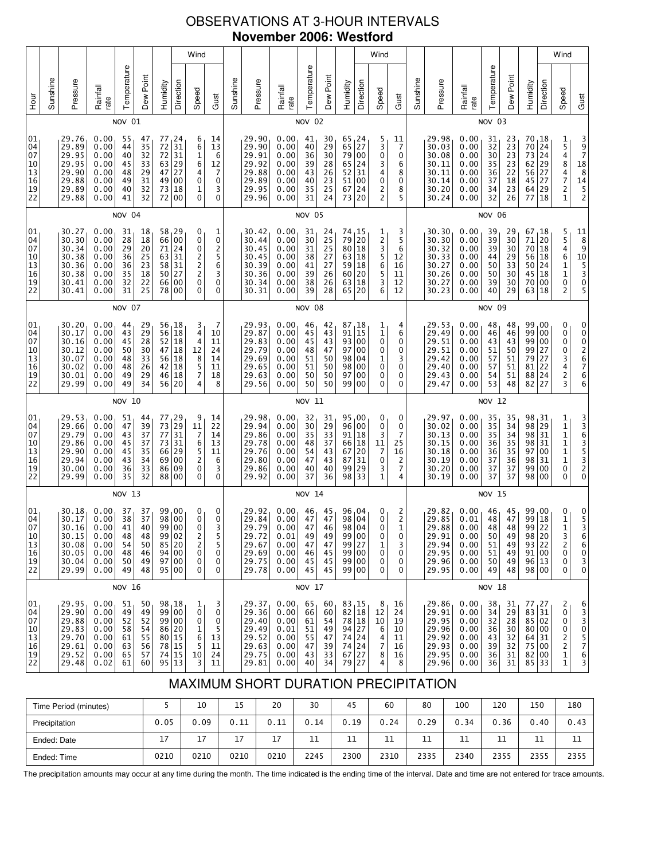# OBSERVATIONS AT 3-HOUR INTERVALS **November 2006: Westford**

|                                                           |          |                                                                      |                                                              |                                                           |                                                           |                                                                                                 |                                                                                                                                        | Wind                                                                                                    |                                                            |          |                                                                      |                                                              |                                              |                                                           |                                                                                                                    |                         | Wind                                                                   |                                                       |          |                                                                          |                                                              |                                                           |                                                                             |                                        |                                                                 | Wind                                                                          |                                                                                                                              |
|-----------------------------------------------------------|----------|----------------------------------------------------------------------|--------------------------------------------------------------|-----------------------------------------------------------|-----------------------------------------------------------|-------------------------------------------------------------------------------------------------|----------------------------------------------------------------------------------------------------------------------------------------|---------------------------------------------------------------------------------------------------------|------------------------------------------------------------|----------|----------------------------------------------------------------------|--------------------------------------------------------------|----------------------------------------------|-----------------------------------------------------------|--------------------------------------------------------------------------------------------------------------------|-------------------------|------------------------------------------------------------------------|-------------------------------------------------------|----------|--------------------------------------------------------------------------|--------------------------------------------------------------|-----------------------------------------------------------|-----------------------------------------------------------------------------|----------------------------------------|-----------------------------------------------------------------|-------------------------------------------------------------------------------|------------------------------------------------------------------------------------------------------------------------------|
| уон<br>Но                                                 | Sunshine | Pressure                                                             | Rainfall<br>rate                                             | Temperature                                               | Dew Point                                                 | Humidity                                                                                        | Direction                                                                                                                              | Speed                                                                                                   | Gust                                                       | Sunshine | Pressure                                                             | Rainfall<br>rate                                             | Temperature                                  | Dew Point                                                 | Humidity                                                                                                           | Direction               | Speed                                                                  | Gust                                                  | Sunshine | Pressure                                                                 | Rainfall<br>rate                                             | Temperature                                               | Dew Point                                                                   | Humidity                               | Direction                                                       | Speed                                                                         | Gust                                                                                                                         |
|                                                           |          |                                                                      |                                                              | NOV 01                                                    |                                                           |                                                                                                 |                                                                                                                                        |                                                                                                         |                                                            |          |                                                                      |                                                              | NOV 02                                       |                                                           |                                                                                                                    |                         |                                                                        |                                                       |          |                                                                          |                                                              | NOV 03                                                    |                                                                             |                                        |                                                                 |                                                                               |                                                                                                                              |
| 01<br>04<br>07<br>10<br>13<br>16<br>19<br>$\overline{2}2$ |          | 29.76<br>29.89<br>29.95<br>29.95<br>29.90<br>29.88<br>29.89<br>29.88 | 0.00<br>0.00<br>0.00<br>0.00<br>0.00<br>0.00<br>0.00<br>0.00 | 55<br>44<br>40<br>45<br>48<br>49<br>40<br>41              | 47<br>35<br>$\overline{32}$<br>33<br>29<br>31<br>32<br>32 | 77<br>$\frac{72}{72}$<br>$6\overline{3}$<br>47<br>49<br>$\begin{array}{c} 73 \\ 72 \end{array}$ | 24<br>$\frac{31}{29}$<br>27<br>00<br>18<br>00                                                                                          | 6<br>6<br>1<br>6<br>5<br>4<br>$\mathbf 0$<br>$\frac{1}{0}$                                              | 14<br>13<br>6<br>12<br>7<br>0<br>3<br>0                    |          | 29.90<br>29.90<br>29.91<br>29.92<br>29.88<br>29.89<br>29.95<br>29.96 | 0.00<br>0.00<br>0.00<br>0.00<br>0.00<br>0.00<br>0.00<br>0.00 | 41<br>40<br>36<br>39<br>43<br>40<br>35<br>31 | 30<br>$\frac{29}{30}$<br>28<br>26<br>23<br>25<br>24       | $\begin{bmatrix} 65 & 24 \\ 65 & 27 \\ 79 & 00 \end{bmatrix}$<br>$65$ 24<br>52<br>51<br>67<br>73                   | 31<br>00<br>24<br>20    | 5<br>3<br>0<br>3<br>4<br>0<br>2<br>2                                   | 11<br>$\overline{7}$<br>0<br>6<br>8<br>0<br>8<br>5    |          | 29.98<br>30.03<br>30.08<br>30.11<br>30.11<br>30.14<br>30.20<br>30.24     | 0.00<br>0.00<br>0.00<br>0.00<br>0.00<br>0.00<br>0.00<br>0.00 | 31<br>32<br>$\overline{30}$<br>35<br>36<br>37<br>34<br>32 | 23<br>23<br>23<br>23<br>22<br>18<br>23<br>26                                | 70<br>70<br>73<br>62<br>56<br>64<br>77 | 18<br>24<br>$\overline{24}$<br>29<br>27<br>45 27<br>29<br>18    | 154847<br>2<br>1                                                              | $\begin{array}{c}\n 3 \\  9 \\  7 \\  18 \\  \end{array}$<br>8<br>$\begin{array}{c}\n 14 \\  \hline\n 5 \\  2\n \end{array}$ |
|                                                           |          |                                                                      |                                                              | NOV 04                                                    |                                                           |                                                                                                 |                                                                                                                                        |                                                                                                         |                                                            |          |                                                                      |                                                              | NOV 05                                       |                                                           |                                                                                                                    |                         |                                                                        |                                                       |          |                                                                          |                                                              | <b>NOV 06</b>                                             |                                                                             |                                        |                                                                 |                                                                               |                                                                                                                              |
| 01<br>04<br>07<br>10<br>13<br>16<br>19<br>22              |          | 30.27<br>30.30<br>30.34<br>30.38<br>30.36<br>30.38<br>30.41<br>30.41 | 0.00<br>0.00<br>0.00<br>0.00<br>0.00<br>0.00<br>0.00<br>0.00 | 31<br>$\overline{28}$<br>29<br>36<br>36<br>35<br>32<br>31 | $\frac{18}{18}$<br>20<br>25<br>23<br>18<br>22<br>25       | $\begin{array}{c} 58 \\ 66 \end{array}$<br>71<br>50<br>78                                       | $\begin{matrix} 29 \\ 00 \end{matrix}$<br>24<br>63 31<br>58 31<br>27<br>66 00<br>00                                                    | 0<br>$\mathbf 0$<br>0<br>2<br>$\overline{\mathbf{c}}$<br>$\begin{smallmatrix}2\0\end{smallmatrix}$<br>0 | 1<br>0<br>$\overline{\mathbf{c}}$<br>5<br>6<br>3<br>0<br>0 |          | 30.42<br>30.44<br>30.45<br>30.45<br>30.39<br>30.36<br>30.34<br>30.31 | 0.00<br>0.00<br>0.00<br>0.00<br>0.00<br>0.00<br>0.00<br>0.00 | 31<br>30<br>31<br>38<br>41<br>39<br>38<br>39 | $\frac{24}{25}$<br>25<br>27<br>27<br>26<br>26<br>28       | 74 15<br>79 20<br>80 18<br>63 18<br>59 18<br>60<br>63 18<br>65                                                     | 20<br>20                | 1<br>2<br>3<br>5<br>6<br>5<br>3<br>6                                   | 3<br>5<br>6<br>12<br>16<br>11<br>12<br>12             |          | 30.30<br>30.30<br>30.32<br>30.33<br>30.27<br>$30.26$<br>$30.27$<br>30.23 | 0.00<br>0.00<br>0.00<br>0.00<br>0.00<br>0.00<br>0.00<br>0.00 | 39<br>39<br>39<br>44<br>50<br>50<br>39<br>40              | 29<br>30<br>$\begin{array}{c} 30 \\ 29 \end{array}$<br>33<br>30<br>30<br>29 | 67<br>71<br>70<br>56<br>50<br>45       | 18<br>$\overline{20}$<br>18<br>18<br>24<br>18<br>70 00<br>63 18 | 5<br>5<br>4<br>6<br>$\begin{array}{c} 1 \\ 1 \\ 0 \end{array}$<br>2           | $\begin{array}{c}\n11 \\ 8 \\ 9\n\end{array}$<br>$10\,$<br>5<br>3<br>0                                                       |
|                                                           | NOV 07   |                                                                      |                                                              |                                                           |                                                           |                                                                                                 |                                                                                                                                        |                                                                                                         |                                                            |          |                                                                      |                                                              | <b>NOV 08</b>                                |                                                           |                                                                                                                    |                         |                                                                        |                                                       |          |                                                                          |                                                              | <b>NOV 09</b>                                             |                                                                             |                                        |                                                                 |                                                                               |                                                                                                                              |
| 01<br>04<br>07<br>10<br>13<br>$\overline{16}$<br>19<br>22 |          | 30.20<br>30.17<br>30.16<br>30.12<br>30.07<br>30.02<br>30.01<br>29.99 | 0.00<br>0.00<br>0.00<br>0.00<br>0.00<br>0.00<br>0.00<br>0.00 | 44<br>43<br>45<br>50<br>48<br>48<br>49<br>49              | 29<br>29<br>28<br>30<br>33<br>26<br>29<br>34              | 56<br>46                                                                                        | 56, 18<br>$\overline{18}$<br>$\begin{bmatrix} 52 \\ 47 \\ 18 \\ 56 \\ 18 \\ 42 \\ 18 \\ 19 \end{bmatrix}$<br>18<br>56 20               | 3<br>4<br>4<br>12<br>$\begin{array}{c} 8 \\ 5 \\ 7 \end{array}$<br>4                                    | 7<br>10<br>11<br>24<br>14<br>11<br>18<br>8                 |          | 29.93<br>29.87<br>29.83<br>29.79<br>29.69<br>29.65<br>29.63<br>29.56 | 0.00<br>0.00<br>0.00<br>0.00<br>0.00<br>0.00<br>0.00<br>0.00 | 46<br>45<br>45<br>48<br>51<br>51<br>50<br>50 | 42<br>43<br>43<br>47<br>50<br>50<br>50<br>50              | 87,18<br>91<br>93 00<br>97 00<br>98 04<br>98<br>97<br>99 00                                                        | 15<br>  00<br>  00      | 1<br>1<br>0<br>0<br>1<br>0<br>0<br>0                                   | 4<br>6<br>0<br>0<br>3<br>0<br>0<br>0                  |          | 29.53<br>29.49<br>29.51<br>29.51<br>29.42<br>29.40<br>29.43<br>29.47     | 0.00<br>0.00<br>0.00<br>0.00<br>0.00<br>0.00<br>0.00<br>0.00 | 48<br>46<br>43<br>51<br>57<br>57<br>54<br>53              | 48<br>$\frac{18}{43}$<br>50<br>51<br>$5\overline{1}$<br>51<br>48            | 99<br>99<br>99<br>79<br>81<br>88<br>82 | 99,00<br>00<br>00<br>27<br>27<br>22<br>24<br>27                 | 0<br>0<br>0<br>0<br>3<br>4<br>2<br>3                                          |                                                                                                                              |
|                                                           |          |                                                                      |                                                              | <b>NOV 10</b>                                             |                                                           |                                                                                                 |                                                                                                                                        |                                                                                                         |                                                            |          |                                                                      |                                                              | NOV 11                                       |                                                           |                                                                                                                    |                         |                                                                        |                                                       |          |                                                                          |                                                              | <b>NOV 12</b>                                             |                                                                             |                                        |                                                                 |                                                                               |                                                                                                                              |
| 01<br>04<br>07<br>10<br>13<br>16<br>19<br>22              |          | 29.53<br>29.66<br>29.79<br>29.86<br>29.90<br>29.94<br>30.00<br>29.99 | 0.00<br>0.00<br>0.00<br>0.00<br>0.00<br>0.00<br>0.00<br>0.00 | 51<br>47<br>43<br>45<br>45<br>43<br>36<br>35              | 44<br>39<br>37<br>37<br>35<br>34<br>33<br>32              | 77<br>$73\,$<br>77<br>69<br>86                                                                  | $\begin{array}{c} 29 \\ 29 \end{array}$<br>31<br>$\begin{array}{c c} 73 & 31 \\ 66 & 29 \end{array}$<br>$\overline{00}$<br>09<br>88 00 | 9<br>11<br>7<br>$\begin{array}{c} 6 \\ 5 \\ 2 \end{array}$<br>$\mathbf 0$<br>0                          | 14<br>22<br>14<br>13<br>11<br>6<br>3<br>0                  |          | 29.98<br>29.94<br>29.86<br>29.78<br>29.76<br>29.80<br>29.86<br>29.92 | 0.00<br>0.00<br>0.00<br>0.00<br>0.00<br>0.00<br>0.00<br>0.00 | 32<br>30<br>35<br>48<br>54<br>47<br>40<br>37 | 31<br>29<br>33<br>37<br>$\overline{4}3$<br>43<br>40<br>36 | 95,00<br>96 00<br>91<br>$\begin{bmatrix} 66 \\ 67 \\ 20 \end{bmatrix}$<br>87<br>99<br>98 33                        | $\vert$ 18<br>31<br> 29 | 0<br>0<br>3<br>11<br>$\overline{7}$<br>$\mathbf 0$<br>3<br>$\mathbf 1$ | 0<br>0<br>7<br>25<br>16<br>2<br>7<br>4                |          | 29.97<br>30.02<br>30.13<br>30.15<br>30.18<br>30.19<br>30.20<br>30.19     | 0.00<br>0.00<br>0.00<br>0.00<br>0.00<br>0.00<br>0.00<br>0.00 | 35<br>35<br>35<br>36<br>36<br>37<br>37<br>37              | 35<br>34<br>34<br>$\begin{array}{c} 35 \\ 35 \end{array}$<br>36<br>37<br>37 | 98<br>98<br>97<br>99                   | 31  <br>29<br>98 31<br>98 31<br>00<br>98 31<br>00<br>98 00      | 1 1 1 1 1 1<br>0<br>0                                                         | 33635320                                                                                                                     |
|                                                           |          |                                                                      |                                                              | NOV 13                                                    |                                                           |                                                                                                 |                                                                                                                                        |                                                                                                         |                                                            |          |                                                                      |                                                              | <b>NOV 14</b>                                |                                                           |                                                                                                                    |                         |                                                                        |                                                       |          |                                                                          |                                                              | <b>NOV 15</b>                                             |                                                                             |                                        |                                                                 |                                                                               |                                                                                                                              |
| 01<br>04<br>07<br>10<br>13<br>16<br>19<br>22              |          | 30.18<br>30.17<br>30.16<br>30.15<br>30.08<br>30.05<br>30.04<br>29.99 | 0.00<br>0.00<br>0.00<br>0.00<br>0.00<br>0.00<br>0.00<br>0.00 | 37<br>38<br>41<br>48<br>54<br>48<br>50<br>49              | 37<br>37<br>40<br>48<br>50<br>46<br>49<br>48              | 85                                                                                              | 99,00<br>98 00<br>99 00<br>99 02<br>20<br>94 00<br>97 00<br>95 00                                                                      | 0<br>0<br>0<br>2<br>$\overline{c}$<br>0<br>0<br>0                                                       | 0<br>0<br>3<br>5<br>5<br>0<br>0<br>0                       |          | 29.92<br>29.84<br>29.79<br>29.72<br>29.67<br>29.69<br>29.75<br>29.78 | 0.00<br>0.00<br>0.00<br>0.01<br>0.00<br>0.00<br>0.00<br>0.00 | 46<br>47<br>47<br>49<br>47<br>46<br>45<br>45 | 45<br>47<br>46<br>49<br>47<br>45<br>45<br>45              | 96,04<br>98 04<br>98 04<br>99 00<br>99 27<br>99 00<br>99 00<br>99 00                                               |                         | 0<br>0<br>0<br>0<br>1<br>0<br>0<br>0                                   | $\frac{2}{2}$<br>$\mathbf 1$<br>0<br>3<br>0<br>0<br>0 |          | 29.82<br>29.85<br>29.88<br>29.91<br>29.94<br>29.95<br>29.96<br>29.95     | 0.00<br>0.01<br>0.00<br>0.00<br>0.00<br>0.00<br>0.00<br>0.00 | 46<br>48<br>48<br>50<br>51<br>51<br>50<br>49              | 45<br>47<br>48<br>49<br>49<br>49<br>49<br>48                                | 99<br>91 00<br>96 13                   | 99,00<br>99 18<br>22<br>98 20<br>93 22<br>98 00                 | 0<br>$\mathbf 1$<br>$\mathbf{1}$<br>3<br>$\overline{2}$<br>0<br>0<br>0        | $\begin{array}{c} 0 \\ 5 \\ 3 \end{array}$<br>6<br>6<br>0<br>3<br>$\pmb{0}$                                                  |
|                                                           |          |                                                                      |                                                              | <b>NOV 16</b>                                             |                                                           |                                                                                                 |                                                                                                                                        |                                                                                                         |                                                            |          |                                                                      |                                                              | NOV 17                                       |                                                           |                                                                                                                    |                         |                                                                        |                                                       |          |                                                                          |                                                              | <b>NOV 18</b>                                             |                                                                             |                                        |                                                                 |                                                                               |                                                                                                                              |
| 01<br>04<br>07<br>10<br>13<br>16<br>19<br>22              |          | 29.95<br>29.90<br>29.88<br>29.83<br>29.70<br>29.61<br>29.52<br>29.48 | 0.00<br>0.00<br>0.00<br>0.00<br>0.00<br>0.00<br>0.00<br>0.02 | 51<br>49<br>52<br>58<br>61<br>63<br>65<br>61              | 50<br>49<br>52<br>54<br>55<br>56<br>57<br>60              |                                                                                                 | 98, 18<br>99 00<br>99 00<br>86 20<br>80 15<br>78 15<br>74 15<br>95 13                                                                  | 1<br>0<br>0<br>1<br>6<br>5<br>10<br>3                                                                   | 3<br>0<br>0<br>5<br>13<br>11<br>24<br>11                   |          | 29.37<br>29.36<br>29.40<br>29.49<br>29.52<br>29.63<br>29.75<br>29.81 | 0.00<br>0.00<br>0.00<br>0.01<br>0.00<br>0.00<br>0.00<br>0.00 | 65<br>66<br>61<br>51<br>55<br>47<br>43<br>40 | 60<br>60<br>54<br>49<br>47<br>39<br>33<br>34              | $\begin{array}{c} 83 \\ 82 \\ 18 \\ 78 \\ 18 \\ 18 \\ 21 \end{array}$<br>94 27<br>74 24<br>74 24<br>67 27<br>79 27 |                         | 8<br>12<br>10<br>6<br>4<br>7<br>8<br>4                                 | 16<br>24<br>19<br>10<br>11<br>16<br>16<br>8           |          | 29.86<br>29.91<br>29.95<br>29.96<br>29.92<br>29.93<br>29.95<br>29.96     | 0.00<br>0.00<br>0.00<br>0.00<br>0.00<br>0.00<br>0.00<br>0.00 | 38<br>34<br>32<br>36<br>43<br>39<br>36<br>36              | 31<br>29<br>$\overline{28}$<br>$30\,$<br>$32\,$<br>32<br>31<br>31           | 80 00<br>82 00                         | 77,27<br>83 31<br>85 02<br>64 31<br>75 00<br>85 33              | 2<br>0<br>0<br>0<br>2<br>$\begin{array}{c} 2 \\ 1 \end{array}$<br>$\mathbf 1$ | 6<br>$\frac{3}{3}$<br>05763                                                                                                  |

# MAXIMUM SHORT DURATION PRECIPITATION

| Time Period (minutes) |      | 10   | 15   | 20   | 30   | 45   | 60   | 80   | 100  | 120  | 150  | 180  |
|-----------------------|------|------|------|------|------|------|------|------|------|------|------|------|
| Precipitation         | 0.05 | 0.09 | 0.11 | 0.11 | 0.14 | 0.19 | 0.24 | 0.29 | 0.34 | 0.36 | 0.40 | 0.43 |
| Ended: Date           | 17   | 17   | 17   | 17   | 11   | 11   | 11   | 11   | ᆠ    | 11   | 11   | 11   |
| Ended: Time           | 0210 | 0210 | 0210 | 0210 | 2245 | 2300 | 2310 | 2335 | 2340 | 2355 | 2355 | 2355 |

The precipitation amounts may occur at any time during the month. The time indicated is the ending time of the interval. Date and time are not entered for trace amounts.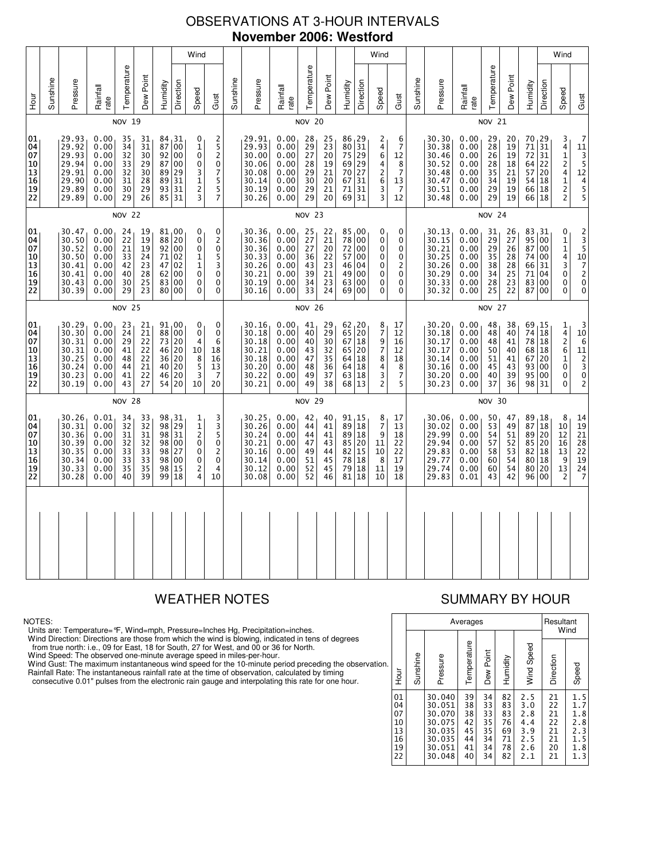# OBSERVATIONS AT 3-HOUR INTERVALS **November 2006: Westford**

|                                              |                                                                                            |                                                                      |                                                              |                                              |                                                           |                                              | Wind                                               |                                                                                    |                                                                                                          |          |                                                                      |                                                              |                                                           |                                                    |                                            | Wind                                                                                                                               |                                                                           |                                                      |          |                                                                      |                                                              |                                                           |                                              |                                                               | Wind                                           |                                                                                       |                                                                                          |
|----------------------------------------------|--------------------------------------------------------------------------------------------|----------------------------------------------------------------------|--------------------------------------------------------------|----------------------------------------------|-----------------------------------------------------------|----------------------------------------------|----------------------------------------------------|------------------------------------------------------------------------------------|----------------------------------------------------------------------------------------------------------|----------|----------------------------------------------------------------------|--------------------------------------------------------------|-----------------------------------------------------------|----------------------------------------------------|--------------------------------------------|------------------------------------------------------------------------------------------------------------------------------------|---------------------------------------------------------------------------|------------------------------------------------------|----------|----------------------------------------------------------------------|--------------------------------------------------------------|-----------------------------------------------------------|----------------------------------------------|---------------------------------------------------------------|------------------------------------------------|---------------------------------------------------------------------------------------|------------------------------------------------------------------------------------------|
| 호                                            | Sunshine                                                                                   | Pressure                                                             | Rainfall<br>rate                                             | Temperature                                  | Dew Point                                                 | Humidity                                     | Direction                                          | Speed                                                                              | Gust                                                                                                     | Sunshine | Pressure                                                             | Rainfall<br>rate                                             | Temperature                                               | Dew Point                                          | Humidity                                   | Direction                                                                                                                          | Speed                                                                     | Gust                                                 | Sunshine | Pressure                                                             | Rainfall<br>rate                                             | Temperature                                               | Dew Point                                    | Humidity                                                      | Direction                                      | Speed                                                                                 | Gust                                                                                     |
|                                              |                                                                                            |                                                                      |                                                              | <b>NOV 19</b>                                |                                                           |                                              |                                                    |                                                                                    |                                                                                                          |          |                                                                      |                                                              | <b>NOV 20</b>                                             |                                                    |                                            |                                                                                                                                    |                                                                           |                                                      |          |                                                                      |                                                              | <b>NOV 21</b>                                             |                                              |                                                               |                                                |                                                                                       |                                                                                          |
| 01<br>04<br>07<br>10<br>13<br>16<br>19<br>22 |                                                                                            | 29.93<br>29.92<br>29.93<br>29.94<br>29.91<br>29.90<br>29.89<br>29.89 | 0.00<br>0.00<br>0.00<br>0.00<br>0.00<br>0.00<br>0.00<br>0.00 | 35<br>34<br>32<br>33<br>32<br>31<br>30<br>29 | 31<br>$\overline{31}$<br>30<br>29<br>30<br>28<br>29<br>26 | 87<br>92<br>87<br>89<br>89<br>93<br>85       | 84, 31<br>00<br>00<br>00<br>29<br>31<br>31<br>31   | 0<br>$\mathbf 1$<br>$\pmb{0}$<br>0<br>3<br>$\mathbf 1$<br>$\frac{2}{3}$            | 2<br>$\overline{5}$<br>2<br>$\pmb{0}$<br>$\overline{7}$<br>5<br>5<br>$\overline{7}$                      |          | 29.91<br>29.93<br>30.00<br>30.06<br>30.08<br>30.14<br>30.19<br>30.26 | 0.00<br>0.00<br>0.00<br>0.00<br>0.00<br>0.00<br>0.00<br>0.00 | 28<br>$\overline{29}$<br>27<br>28<br>29<br>30<br>29<br>29 | $25$<br>$23$<br>$20$<br>19<br>21<br>20<br>21<br>20 | 75<br>70<br>67<br>71<br>69                 | $\begin{array}{c}\n 86 \\  80\n \end{array}\n \begin{array}{c}\n 29 \\  31\n \end{array}$<br>  29<br>69 29<br>27<br>31<br>31<br>31 | 2<br>4<br>6<br>4<br>$\overline{\mathbf{c}}$<br>6<br>$\frac{3}{3}$         | 6<br>7<br>12<br>8<br>7<br>13<br>$\overline{7}$<br>12 |          | 30.30<br>30.38<br>30.46<br>30.52<br>30.48<br>30.47<br>30.51<br>30.48 | 0.00<br>0.00<br>0.00<br>0.00<br>0.00<br>0.00<br>0.00<br>0.00 | 29<br>$\overline{28}$<br>26<br>28<br>35<br>34<br>29<br>29 | 20<br>19<br>19<br>18<br>21<br>19<br>19<br>19 | 70, 29<br>71<br>72<br>64 <br>57<br>54<br>66 18<br>66          | 31<br>31<br>22<br>20<br>18<br>$\overline{18}$  | 3<br>4<br>$\mathbf{1}$<br>$\overline{c}$<br>4<br>$\mathbf 1$<br>$\frac{2}{2}$         | $\begin{array}{c} \n 11 \\  \hline\n 3 \\  \phantom{0}5 \\  \phantom{0}12\n \end{array}$ |
|                                              | <b>NOV 22</b><br>30.47<br>0.00<br>81,00<br>24<br>19<br>0<br>30.50<br>0.00<br>19<br>88<br>0 |                                                                      |                                                              |                                              |                                                           |                                              |                                                    |                                                                                    |                                                                                                          |          |                                                                      |                                                              | <b>NOV 23</b>                                             |                                                    |                                            |                                                                                                                                    |                                                                           |                                                      |          |                                                                      |                                                              | <b>NOV 24</b>                                             |                                              |                                                               |                                                |                                                                                       |                                                                                          |
| 01<br>04<br>07<br>10<br>13<br>16<br>19<br>22 |                                                                                            | 30.52<br>30.50<br>30.41<br>30.41<br>30.43<br>30.39                   | 0.00<br>0.00<br>0.00<br>0.00<br>0.00<br>0.00                 | 22<br>21<br>33<br>42<br>40<br>30<br>29       | 19<br>24<br>23<br>28<br>25<br>23                          | 92<br>71<br>47<br>62<br>83                   | 20<br>00<br>02<br>02<br>00<br>00<br>00             | 0<br>$\mathbf 1$<br>1<br>$\pmb{0}$<br>$\pmb{0}$<br>$\mathbf{0}$                    | 0<br>$\overline{c}$<br>$\mathbf 0$<br>5<br>3<br>$\mathbf 0$<br>$\mathbf 0$<br>0                          |          | 30.36<br>30.36<br>30.36<br>30.33<br>30.26<br>30.21<br>30.19<br>30.16 | 0.00<br>0.00<br>0.00<br>0.00<br>0.00<br>0.00<br>0.00<br>0.00 | 25<br>27<br>27<br>36<br>43<br>39<br>34<br>33              | 22<br>21<br>20<br>22<br>23<br>21<br>23<br>24       | 78<br>72<br>57<br>46<br>49<br>63<br>69     | 85,00<br>00<br>  00<br>00<br>04<br>00<br>00<br>00                                                                                  | 0<br>0<br>0<br>0<br>0<br>0<br>0<br>0                                      | 0<br>0<br>0<br>0<br>2<br>0<br>0<br>0                 |          | 30.13<br>30.15<br>30.21<br>30.25<br>30.26<br>30.29<br>30.33<br>30.32 | 0.00<br>0.00<br>0.00<br>0.00<br>0.00<br>0.00<br>0.00<br>0.00 | 31<br>29<br>29<br>35<br>38<br>34<br>28<br>25              | 26<br>27<br>26<br>28<br>28<br>25<br>23<br>22 | 83<br>95<br>87<br>74<br>66<br>71<br>83<br>87                  | , 31<br>00<br>00<br>00<br>31<br>04<br>00<br>00 | 0<br>$\mathbf 1$<br>$\mathbf{1}$<br>4<br>3<br>0<br>0<br>0                             | $\frac{10}{7}$<br>$\frac{2}{0}$                                                          |
|                                              | 80<br><b>NOV 25</b>                                                                        |                                                                      |                                                              |                                              |                                                           |                                              |                                                    |                                                                                    |                                                                                                          |          |                                                                      |                                                              | <b>NOV 26</b>                                             |                                                    |                                            |                                                                                                                                    |                                                                           |                                                      |          |                                                                      |                                                              | <b>NOV 27</b>                                             |                                              |                                                               |                                                |                                                                                       |                                                                                          |
| 01<br>04<br>07<br>10<br>13<br>16<br>19<br>22 |                                                                                            | 30.29<br>30.30<br>30.31<br>30.31<br>30.25<br>30.24<br>30.23<br>30.19 | 0.00<br>0.00<br>0.00<br>0.00<br>0.00<br>0.00<br>0.00<br>0.00 | 23<br>24<br>29<br>41<br>48<br>44<br>41<br>43 | 21<br>21<br>22<br>22<br>22<br>21<br>22<br>27              | 88<br>73<br>46<br>36<br>40<br>46             | 91,00<br>00<br>20<br>20<br>20<br>20<br>20<br>54 20 | 0<br>$\pmb{0}$<br>$\overline{4}$<br>10<br>8<br>5<br>3<br>10                        | 0<br>0<br>6<br>18<br>16<br>13<br>7<br>20                                                                 |          | 30.16<br>30.18<br>30.18<br>30.21<br>30.18<br>30.20<br>30.22<br>30.21 | 0.00<br>0.00<br>0.00<br>0.00<br>0.00<br>0.00<br>0.00<br>0.00 | 41<br>40<br>40<br>43<br>47<br>48<br>49<br>49              | 29<br>29<br>30<br>32<br>35<br>36<br>37<br>38       | 62, 20<br>65<br>67<br>65<br>64<br>64<br>63 | 20<br> 18<br>20<br> 18<br>18<br>  18<br>68 13                                                                                      | 8<br>$\overline{\mathfrak{c}}$<br>9<br>7<br>8<br>4<br>3<br>$\overline{c}$ | 17<br>12<br>16<br>12<br>18<br>8<br>7<br>5            |          | 30.20<br>30.18<br>30.17<br>30.17<br>30.14<br>30.16<br>30.20<br>30.23 | 0.00<br>0.00<br>0.00<br>0.00<br>0.00<br>0.00<br>0.00<br>0.00 | 48<br>48<br>48<br>50<br>51<br>45<br>40<br>37              | 38<br>40<br>41<br>40<br>41<br>43<br>39<br>36 | 69, 15<br>74<br>78 18<br>68<br>67<br>93<br>95<br>98 31        | 18<br>18<br>20<br>00<br>00                     | $\frac{1}{4}$<br>$\overline{\mathbf{c}}$<br>6<br>$\mathbf 1$<br>0<br>0<br>0           | $\begin{array}{c}3\\10\\6\\11\end{array}$                                                |
|                                              |                                                                                            |                                                                      |                                                              | <b>NOV 28</b>                                |                                                           |                                              |                                                    |                                                                                    |                                                                                                          |          |                                                                      |                                                              | <b>NOV 29</b>                                             |                                                    |                                            |                                                                                                                                    |                                                                           |                                                      |          |                                                                      |                                                              | <b>NOV 30</b>                                             |                                              |                                                               |                                                |                                                                                       |                                                                                          |
| 01<br>04<br>07<br>10<br>13<br>16<br>19<br>22 |                                                                                            | 30.26<br>30.31<br>30.36<br>30.39<br>30.35<br>30.34<br>30.33<br>30.28 | 0.01<br>0.00<br>0.00<br>0.00<br>0.00<br>0.00<br>0.00<br>0.00 | 34<br>32<br>31<br>32<br>33<br>33<br>35<br>40 | 33<br>32<br>31<br>32<br>33<br>33<br>35<br>39              | 98<br>98<br>98<br>98<br>98<br>98<br>98<br>99 | 31 ا<br>29<br>31<br>00<br>27<br>00<br>15<br>18     | 1<br>$\mathbf 1$<br>$\overline{c}$<br>$\mathbf 0$<br>0<br>0<br>2<br>$\overline{4}$ | 3<br>$\frac{3}{5}$<br>$\begin{smallmatrix}0\0\2\end{smallmatrix}$<br>$\mathbf 0$<br>$\overline{4}$<br>10 |          | 30.25<br>30.26<br>30.24<br>30.21<br>30.16<br>30.14<br>30.12<br>30.08 | 0.00<br>0.00<br>0.00<br>0.00<br>0.00<br>0.00<br>0.00<br>0.00 | 42<br>44<br>44<br>47<br>49<br>51<br>52<br>52              | 40<br>41<br>41<br>43<br>44<br>45<br>45<br>46       | 91, 15<br>89<br>85<br>82<br>78<br>79<br>81 | 18<br>89 18<br>20<br>  15<br> 18<br>18<br>18                                                                                       | $\begin{array}{c} 8 \\ 7 \end{array}$<br>9<br>11<br>10<br>8<br>11<br>10   | 17<br>13<br>18<br>22<br>22<br>17<br>19<br>18         |          | 30.06<br>30.02<br>29.99<br>29.94<br>29.83<br>29.77<br>29.74<br>29.83 | 0.00<br>0.00<br>0.00<br>0.00<br>0.00<br>0.00<br>0.00<br>0.01 | 50<br>53<br>54<br>57<br>58<br>60<br>60<br>43              | 47<br>49<br>51<br>52<br>53<br>54<br>54<br>42 | 89<br>87<br>$89$ 20<br>85 20<br>82 18<br>80 18<br>80 20<br>96 | 18<br>$\overline{18}$<br>00                    | 8<br>10<br>12<br>$\begin{array}{c} 16 \\ 13 \end{array}$<br>9<br>13<br>$\overline{2}$ | 14<br>19<br>21<br>28<br>22<br>19<br>24<br>24                                             |
|                                              |                                                                                            |                                                                      |                                                              |                                              |                                                           |                                              |                                                    |                                                                                    |                                                                                                          |          |                                                                      |                                                              |                                                           |                                                    |                                            |                                                                                                                                    |                                                                           |                                                      |          |                                                                      |                                                              |                                                           |                                              |                                                               |                                                |                                                                                       |                                                                                          |
|                                              |                                                                                            |                                                                      |                                                              |                                              |                                                           |                                              |                                                    |                                                                                    |                                                                                                          |          |                                                                      |                                                              |                                                           |                                                    |                                            |                                                                                                                                    |                                                                           |                                                      |          |                                                                      |                                                              |                                                           |                                              |                                                               |                                                |                                                                                       |                                                                                          |

### NOTES:

Units are: Temperature=°F, Wind=mph, Pressure=Inches Hg, Precipitation=inches.

Wind Direction: Directions are those from which the wind is blowing, indicated in tens of degrees<br>from true north: i.e., 09 for East, 18 for South, 27 for West, and 00 or 36 for North.<br>Wind Speed: The observed one-minute a

Wind Gust: The maximum instantaneous wind speed for the 10-minute period preceding the observation Rainfall Rate: The instantaneous rainfall rate at the time of observation, calculated by timing

consecutive 0.01" pulses from the electronic rain gauge and interpolating this rate for one hour.

# WEATHER NOTES SUMMARY BY HOUR

|    |                                              |          |                                                                              | Averages                                     |                                              |                                              |                                                      | Resultant                                    | Wind                                                 |
|----|----------------------------------------------|----------|------------------------------------------------------------------------------|----------------------------------------------|----------------------------------------------|----------------------------------------------|------------------------------------------------------|----------------------------------------------|------------------------------------------------------|
| n. | Hour                                         | Sunshine | Pressure                                                                     | Temperature                                  | Dew Point                                    | Humidity                                     | Wind Speed                                           | Direction                                    | Speed                                                |
|    | 01<br>04<br>07<br>10<br>13<br>16<br>19<br>22 |          | 30.040<br>30.051<br>30.070<br>30.075<br>30.035<br>30.035<br>30.051<br>30.048 | 39<br>38<br>38<br>42<br>45<br>44<br>41<br>40 | 34<br>33<br>33<br>35<br>35<br>34<br>34<br>34 | 82<br>83<br>83<br>76<br>69<br>71<br>78<br>82 | 2.5<br>3.0<br>2.8<br>4.4<br>3.9<br>2.5<br>2.6<br>2.1 | 21<br>22<br>21<br>22<br>21<br>21<br>20<br>21 | 1.5<br>1.7<br>1.8<br>2.8<br>2.3<br>1.5<br>1.8<br>1.3 |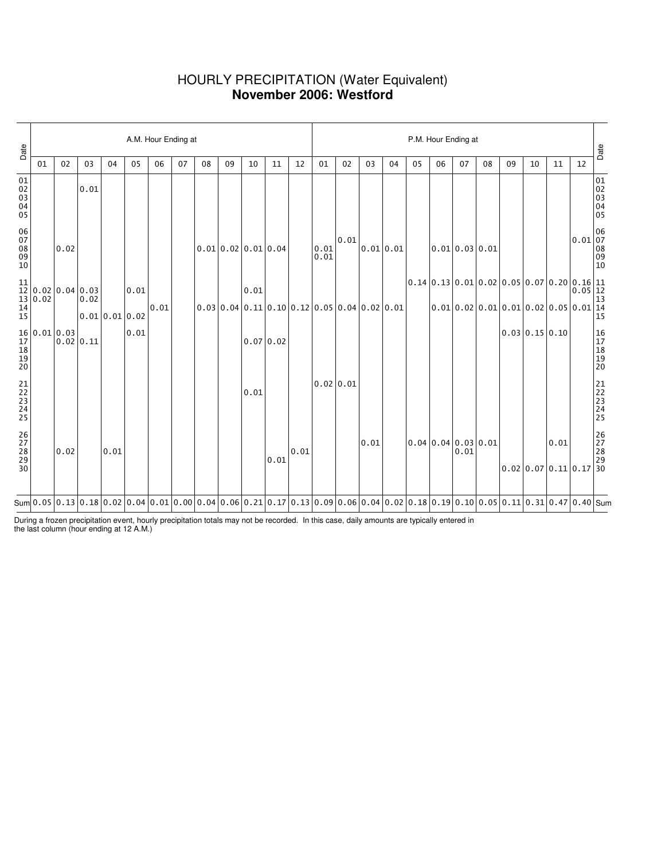## HOURLY PRECIPITATION (Water Equivalent) **November 2006: Westford**

| Date                             |    |                                                                                                                       |                                                                                                                            |                                                                                                                                                                                                                                                                                               |      | A.M. Hour Ending at |    |    |                  |      |           |      |                                                |      |      |           |                                                                                                                                                               |    | P.M. Hour Ending at         |    |                                                                                                                                |                      |    |                                                                              | Date                             |
|----------------------------------|----|-----------------------------------------------------------------------------------------------------------------------|----------------------------------------------------------------------------------------------------------------------------|-----------------------------------------------------------------------------------------------------------------------------------------------------------------------------------------------------------------------------------------------------------------------------------------------|------|---------------------|----|----|------------------|------|-----------|------|------------------------------------------------|------|------|-----------|---------------------------------------------------------------------------------------------------------------------------------------------------------------|----|-----------------------------|----|--------------------------------------------------------------------------------------------------------------------------------|----------------------|----|------------------------------------------------------------------------------|----------------------------------|
|                                  | 01 | 02                                                                                                                    | 03                                                                                                                         | 04                                                                                                                                                                                                                                                                                            | 05   | 06                  | 07 | 08 | 09               | 10   | 11        | 12   | 01                                             | 02   | 03   | 04        | 05                                                                                                                                                            | 06 | 07                          | 08 | 09                                                                                                                             | 10                   | 11 | 12                                                                           |                                  |
| 01<br>02<br>03<br>04<br>05       |    |                                                                                                                       | 0.01                                                                                                                       |                                                                                                                                                                                                                                                                                               |      |                     |    |    |                  |      |           |      |                                                |      |      |           |                                                                                                                                                               |    |                             |    |                                                                                                                                |                      |    |                                                                              | 01<br>02<br>03<br>04<br>05       |
| 06<br>07<br>08<br>09<br>09<br>10 |    | 0.02                                                                                                                  |                                                                                                                            |                                                                                                                                                                                                                                                                                               |      |                     |    |    | 0.010.020.010.04 |      |           |      | 0.01<br>0.01                                   | 0.01 |      | 0.01 0.01 |                                                                                                                                                               |    | $0.01$ 0.03 0.01            |    |                                                                                                                                |                      |    | $\begin{bmatrix} 0.01 & 06 \\ 0.01 & 07 \\ 08 & 09 \\ 10 & 10 \end{bmatrix}$ |                                  |
| 11                               |    |                                                                                                                       | $\begin{bmatrix} 11 \\ 12 \\ 13 \\ 14 \\ 15 \end{bmatrix} 0.02 \begin{bmatrix} 0.04 \\ 0.03 \\ 0.02 \\ 0.01 \end{bmatrix}$ |                                                                                                                                                                                                                                                                                               | 0.01 |                     |    |    |                  | 0.01 |           |      |                                                |      |      |           | $\left 0.14\right 0.13\left 0.01\right 0.02\left 0.05\right 0.07\left 0.20\left 0.16\right \substack{11\\0.05\left \begin{array}{l}12\\13\end{array}\right.}$ |    |                             |    |                                                                                                                                |                      |    |                                                                              |                                  |
|                                  |    |                                                                                                                       |                                                                                                                            | $0.01$ 0.01 0.02                                                                                                                                                                                                                                                                              |      | 0.01                |    |    |                  |      |           |      | $0.03 0.04 0.11 0.10 0.12 0.05 0.04 0.02 0.01$ |      |      |           |                                                                                                                                                               |    |                             |    | $ 0.01 0.02 0.01 0.01 0.02 0.05 0.01 14$                                                                                       |                      |    |                                                                              | 15                               |
|                                  |    | $\begin{bmatrix} 16 \ 17 \ 18 \ 18 \ 20 \end{bmatrix} \hspace{.2cm} \begin{bmatrix} 0.01 \ 0.02 \ 0.02 \end{bmatrix}$ | $0.02$ 0.11                                                                                                                |                                                                                                                                                                                                                                                                                               | 0.01 |                     |    |    |                  |      | 0.07 0.02 |      |                                                |      |      |           |                                                                                                                                                               |    |                             |    |                                                                                                                                | $0.03$ $0.15$ $0.10$ |    |                                                                              | 16<br>17<br>18<br>19<br>19<br>20 |
| 21<br>22<br>23<br>24<br>25       |    |                                                                                                                       |                                                                                                                            |                                                                                                                                                                                                                                                                                               |      |                     |    |    |                  | 0.01 |           |      | 0.02 0.01                                      |      |      |           |                                                                                                                                                               |    |                             |    |                                                                                                                                |                      |    |                                                                              | 21<br>22<br>23<br>24<br>24<br>25 |
| 26<br>27<br>28<br>29<br>29<br>30 |    | 0.02                                                                                                                  |                                                                                                                            | 0.01                                                                                                                                                                                                                                                                                          |      |                     |    |    |                  |      | 0.01      | 0.01 |                                                |      | 0.01 |           |                                                                                                                                                               |    | 0.04 0.04 0.03 0.01<br>0.01 |    | $\begin{array}{ c c c c }\hline & & 0.01 & & 26 \ \hline 27 & 28 & & 28 \ 0.02 & 0.07 & 0.11 & 0.17 & 30 \ \hline \end{array}$ |                      |    |                                                                              |                                  |
|                                  |    |                                                                                                                       |                                                                                                                            | Sum $\vert 0.05 \vert 0.13 \vert 0.18 \vert 0.02 \vert 0.04 \vert 0.01 \vert 0.00 \vert 0.04 \vert 0.06 \vert 0.21 \vert 0.17 \vert 0.13 \vert 0.09 \vert 0.06 \vert 0.04 \vert 0.02 \vert 0.18 \vert 0.19 \vert 0.10 \vert 0.05 \vert 0.11 \vert 0.31 \vert 0.47 \vert 0.40 \vert {\rm Sum}$ |      |                     |    |    |                  |      |           |      |                                                |      |      |           |                                                                                                                                                               |    |                             |    |                                                                                                                                |                      |    |                                                                              |                                  |

During a frozen precipitation event, hourly precipitation totals may not be recorded. In this case, daily amounts are typically entered in the last column (hour ending at 12 A.M.)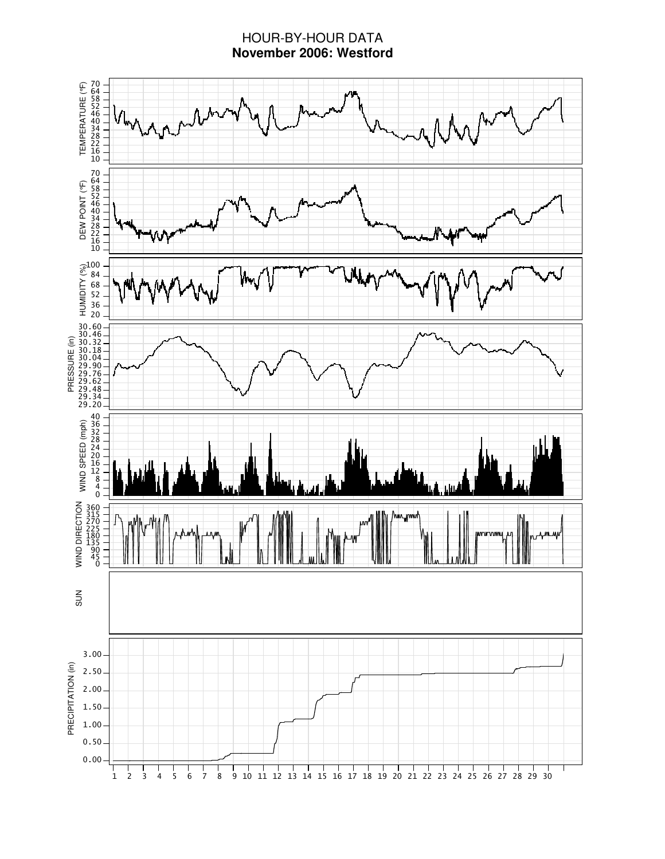# HOUR-BY-HOUR DATA **November 2006: Westford**